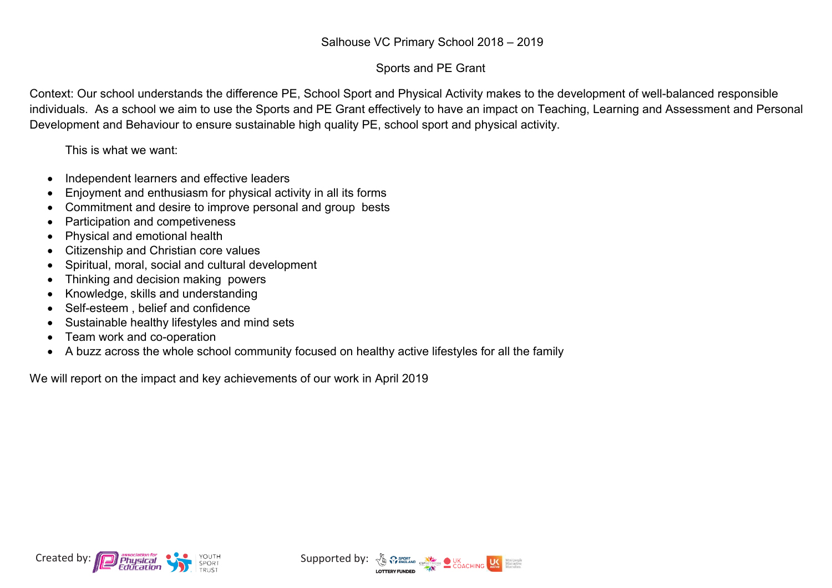## Sports and PE Grant

Context: Our school understands the difference PE, School Sport and Physical Activity makes to the development of well-balanced responsible individuals. As a school we aim to use the Sports and PE Grant effectively to have an impact on Teaching, Learning and Assessment and Personal Development and Behaviour to ensure sustainable high quality PE, school sport and physical activity.

This is what we want:

- ∑ Independent learners and effective leaders
- Enjoyment and enthusiasm for physical activity in all its forms
- Commitment and desire to improve personal and group bests
- Participation and competiveness
- Physical and emotional health
- ∑ Citizenship and Christian core values
- ∑ Spiritual, moral, social and cultural development
- Thinking and decision making powers
- Knowledge, skills and understanding
- Self-esteem , belief and confidence
- ∑ Sustainable healthy lifestyles and mind sets
- Team work and co-operation
- A buzz across the whole school community focused on healthy active lifestyles for all the family

We will report on the impact and key achievements of our work in April 2019



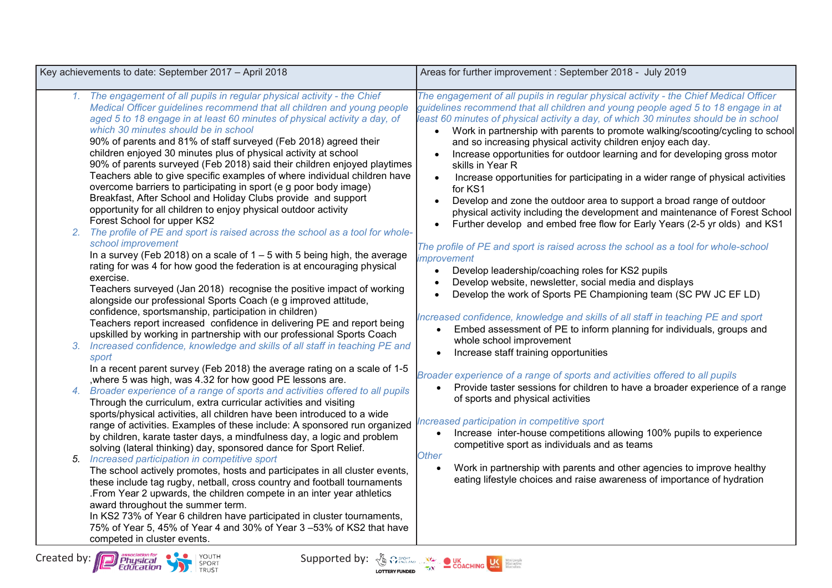| Key achievements to date: September 2017 - April 2018                                                                                                                                                                                                                                                                                                                                                                                                                                                                                                                                                                                                                                                                                                                                                                                                                                                                                                                                                                                                                                                                                                                                                                                                                                                                                                                                                                                                                                                                                                                                                                                                                                                                                                                                                                                                                                                                                                                                                                                                                                                                                                                                                                                                                                                                                                                                                                                                                                                                                                                                                                                                                            | Areas for further improvement : September 2018 - July 2019                                                                                                                                                                                                                                                                                                                                                                                                                                                                                                                                                                                                                                                                                                                                                                                                                                                                                                                                                                                                                                                                                                                                                                                                                                                                                                                                                                                                                                                                                                                                                                                                                                                                                                                                                                                                                                                                                                                                        |  |  |  |
|----------------------------------------------------------------------------------------------------------------------------------------------------------------------------------------------------------------------------------------------------------------------------------------------------------------------------------------------------------------------------------------------------------------------------------------------------------------------------------------------------------------------------------------------------------------------------------------------------------------------------------------------------------------------------------------------------------------------------------------------------------------------------------------------------------------------------------------------------------------------------------------------------------------------------------------------------------------------------------------------------------------------------------------------------------------------------------------------------------------------------------------------------------------------------------------------------------------------------------------------------------------------------------------------------------------------------------------------------------------------------------------------------------------------------------------------------------------------------------------------------------------------------------------------------------------------------------------------------------------------------------------------------------------------------------------------------------------------------------------------------------------------------------------------------------------------------------------------------------------------------------------------------------------------------------------------------------------------------------------------------------------------------------------------------------------------------------------------------------------------------------------------------------------------------------------------------------------------------------------------------------------------------------------------------------------------------------------------------------------------------------------------------------------------------------------------------------------------------------------------------------------------------------------------------------------------------------------------------------------------------------------------------------------------------------|---------------------------------------------------------------------------------------------------------------------------------------------------------------------------------------------------------------------------------------------------------------------------------------------------------------------------------------------------------------------------------------------------------------------------------------------------------------------------------------------------------------------------------------------------------------------------------------------------------------------------------------------------------------------------------------------------------------------------------------------------------------------------------------------------------------------------------------------------------------------------------------------------------------------------------------------------------------------------------------------------------------------------------------------------------------------------------------------------------------------------------------------------------------------------------------------------------------------------------------------------------------------------------------------------------------------------------------------------------------------------------------------------------------------------------------------------------------------------------------------------------------------------------------------------------------------------------------------------------------------------------------------------------------------------------------------------------------------------------------------------------------------------------------------------------------------------------------------------------------------------------------------------------------------------------------------------------------------------------------------------|--|--|--|
| 1. The engagement of all pupils in regular physical activity - the Chief<br>Medical Officer guidelines recommend that all children and young people<br>aged 5 to 18 engage in at least 60 minutes of physical activity a day, of<br>which 30 minutes should be in school<br>90% of parents and 81% of staff surveyed (Feb 2018) agreed their<br>children enjoyed 30 minutes plus of physical activity at school<br>90% of parents surveyed (Feb 2018) said their children enjoyed playtimes<br>Teachers able to give specific examples of where individual children have<br>overcome barriers to participating in sport (e g poor body image)<br>Breakfast, After School and Holiday Clubs provide and support<br>opportunity for all children to enjoy physical outdoor activity<br>Forest School for upper KS2<br>The profile of PE and sport is raised across the school as a tool for whole-<br>2.<br>school improvement<br>In a survey (Feb 2018) on a scale of $1 - 5$ with 5 being high, the average<br>rating for was 4 for how good the federation is at encouraging physical<br>exercise.<br>Teachers surveyed (Jan 2018) recognise the positive impact of working<br>alongside our professional Sports Coach (e g improved attitude,<br>confidence, sportsmanship, participation in children)<br>Teachers report increased confidence in delivering PE and report being<br>upskilled by working in partnership with our professional Sports Coach<br>3. Increased confidence, knowledge and skills of all staff in teaching PE and<br>sport<br>In a recent parent survey (Feb 2018) the average rating on a scale of 1-5<br>, where 5 was high, was 4.32 for how good PE lessons are.<br>4. Broader experience of a range of sports and activities offered to all pupils<br>Through the curriculum, extra curricular activities and visiting<br>sports/physical activities, all children have been introduced to a wide<br>range of activities. Examples of these include: A sponsored run organized<br>by children, karate taster days, a mindfulness day, a logic and problem<br>solving (lateral thinking) day, sponsored dance for Sport Relief.<br>Increased participation in competitive sport<br>5.<br>The school actively promotes, hosts and participates in all cluster events,<br>these include tag rugby, netball, cross country and football tournaments<br>.From Year 2 upwards, the children compete in an inter year athletics<br>award throughout the summer term.<br>In KS2 73% of Year 6 children have participated in cluster tournaments,<br>75% of Year 5, 45% of Year 4 and 30% of Year 3 -53% of KS2 that have<br>competed in cluster events. | The engagement of all pupils in regular physical activity - the Chief Medical Officer<br>guidelines recommend that all children and young people aged 5 to 18 engage in at<br>least 60 minutes of physical activity a day, of which 30 minutes should be in school<br>Work in partnership with parents to promote walking/scooting/cycling to school<br>and so increasing physical activity children enjoy each day.<br>Increase opportunities for outdoor learning and for developing gross motor<br>skills in Year R<br>Increase opportunities for participating in a wider range of physical activities<br>for KS1<br>Develop and zone the outdoor area to support a broad range of outdoor<br>physical activity including the development and maintenance of Forest School<br>Further develop and embed free flow for Early Years (2-5 yr olds) and KS1<br>The profile of PE and sport is raised across the school as a tool for whole-school<br><i>improvement</i><br>Develop leadership/coaching roles for KS2 pupils<br>$\bullet$<br>Develop website, newsletter, social media and displays<br>Develop the work of Sports PE Championing team (SC PW JC EF LD)<br>$\bullet$<br>Increased confidence, knowledge and skills of all staff in teaching PE and sport<br>Embed assessment of PE to inform planning for individuals, groups and<br>whole school improvement<br>Increase staff training opportunities<br>$\bullet$<br>Broader experience of a range of sports and activities offered to all pupils<br>Provide taster sessions for children to have a broader experience of a range<br>$\bullet$<br>of sports and physical activities<br>Increased participation in competitive sport<br>Increase inter-house competitions allowing 100% pupils to experience<br>competitive sport as individuals and as teams<br><b>Other</b><br>Work in partnership with parents and other agencies to improve healthy<br>eating lifestyle choices and raise awareness of importance of hydration |  |  |  |

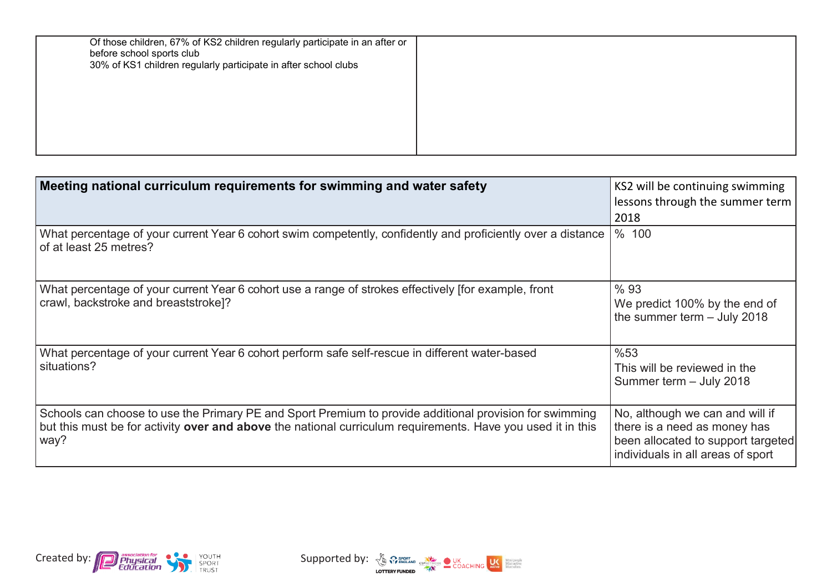| Of those children, 67% of KS2 children regularly participate in an after or<br>before school sports club<br>30% of KS1 children regularly participate in after school clubs |  |
|-----------------------------------------------------------------------------------------------------------------------------------------------------------------------------|--|
|                                                                                                                                                                             |  |

| Meeting national curriculum requirements for swimming and water safety                                                                                                                                                         | KS2 will be continuing swimming<br>lessons through the summer term<br>2018                                                                 |
|--------------------------------------------------------------------------------------------------------------------------------------------------------------------------------------------------------------------------------|--------------------------------------------------------------------------------------------------------------------------------------------|
| What percentage of your current Year 6 cohort swim competently, confidently and proficiently over a distance<br>of at least 25 metres?                                                                                         | % 100                                                                                                                                      |
| What percentage of your current Year 6 cohort use a range of strokes effectively [for example, front<br>crawl, backstroke and breaststroke]?                                                                                   | % 93<br>We predict 100% by the end of<br>the summer term $-$ July 2018                                                                     |
| What percentage of your current Year 6 cohort perform safe self-rescue in different water-based<br>situations?                                                                                                                 | %53<br>This will be reviewed in the<br>Summer term - July 2018                                                                             |
| Schools can choose to use the Primary PE and Sport Premium to provide additional provision for swimming<br>but this must be for activity over and above the national curriculum requirements. Have you used it in this<br>way? | No, although we can and will if<br>there is a need as money has<br>been allocated to support targeted<br>individuals in all areas of sport |



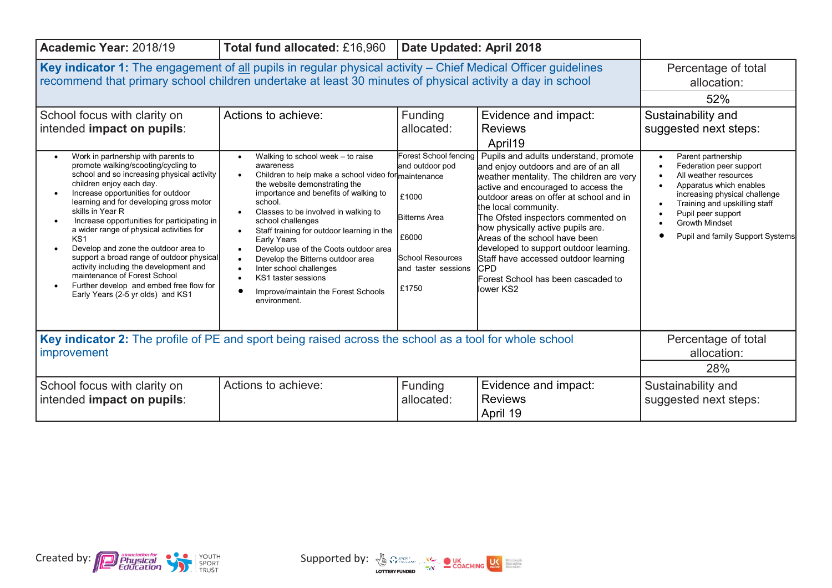| Academic Year: 2018/19<br>Total fund allocated: £16,960<br>Date Updated: April 2018                                                                                                                                                                                                                                                                                                                                                                                                                                                                                                                                                                  |                                                                                                                                                                                                                                                                                                                                                                                                                                                                                                                                                     |                                                                                                                                                      |                                                                                                                                                                                                                                                                                                                                                                                                                                                                                                                                     |                                                                                                                                                                                                                                                                                              |
|------------------------------------------------------------------------------------------------------------------------------------------------------------------------------------------------------------------------------------------------------------------------------------------------------------------------------------------------------------------------------------------------------------------------------------------------------------------------------------------------------------------------------------------------------------------------------------------------------------------------------------------------------|-----------------------------------------------------------------------------------------------------------------------------------------------------------------------------------------------------------------------------------------------------------------------------------------------------------------------------------------------------------------------------------------------------------------------------------------------------------------------------------------------------------------------------------------------------|------------------------------------------------------------------------------------------------------------------------------------------------------|-------------------------------------------------------------------------------------------------------------------------------------------------------------------------------------------------------------------------------------------------------------------------------------------------------------------------------------------------------------------------------------------------------------------------------------------------------------------------------------------------------------------------------------|----------------------------------------------------------------------------------------------------------------------------------------------------------------------------------------------------------------------------------------------------------------------------------------------|
| Key indicator 1: The engagement of all pupils in regular physical activity – Chief Medical Officer guidelines<br>recommend that primary school children undertake at least 30 minutes of physical activity a day in school<br>School focus with clarity on                                                                                                                                                                                                                                                                                                                                                                                           | Percentage of total<br>allocation:<br>52%<br>Sustainability and                                                                                                                                                                                                                                                                                                                                                                                                                                                                                     |                                                                                                                                                      |                                                                                                                                                                                                                                                                                                                                                                                                                                                                                                                                     |                                                                                                                                                                                                                                                                                              |
| intended impact on pupils:<br>Work in partnership with parents to<br>promote walking/scooting/cycling to<br>school and so increasing physical activity<br>children enjoy each day.<br>Increase opportunities for outdoor<br>learning and for developing gross motor<br>skills in Year R<br>Increase opportunities for participating in<br>a wider range of physical activities for<br>KS <sub>1</sub><br>Develop and zone the outdoor area to<br>support a broad range of outdoor physical<br>activity including the development and<br>maintenance of Forest School<br>Further develop and embed free flow for<br>Early Years (2-5 yr olds) and KS1 | Walking to school week - to raise<br>$\bullet$<br>awareness<br>Children to help make a school video for maintenance<br>$\bullet$<br>the website demonstrating the<br>importance and benefits of walking to<br>school.<br>Classes to be involved in walking to<br>school challenges<br>Staff training for outdoor learning in the<br>$\bullet$<br>Early Years<br>Develop use of the Coots outdoor area<br>Develop the Bitterns outdoor area<br>Inter school challenges<br>KS1 taster sessions<br>Improve/maintain the Forest Schools<br>environment. | allocated:<br>Forest School fencing<br>and outdoor pod<br>£1000<br><b>Bitterns Area</b><br>£6000<br>School Resources<br>and taster sessions<br>£1750 | <b>Reviews</b><br>April19<br>Pupils and adults understand, promote<br>and enjoy outdoors and are of an all<br>weather mentality. The children are very<br>active and encouraged to access the<br>loutdoor areas on offer at school and in<br>the local community.<br>The Ofsted inspectors commented on<br>how physically active pupils are.<br>Areas of the school have been<br>developed to support outdoor learning.<br>Staff have accessed outdoor learning<br><b>I</b> CPD<br>Forest School has been cascaded to<br>llower KS2 | suggested next steps:<br>Parent partnership<br>Federation peer support<br>All weather resources<br>Apparatus which enables<br>increasing physical challenge<br>Training and upskilling staff<br>Pupil peer support<br><b>Growth Mindset</b><br>$\bullet$<br>Pupil and family Support Systems |
| Key indicator 2: The profile of PE and sport being raised across the school as a tool for whole school<br>improvement                                                                                                                                                                                                                                                                                                                                                                                                                                                                                                                                | Percentage of total<br>allocation:<br>28%                                                                                                                                                                                                                                                                                                                                                                                                                                                                                                           |                                                                                                                                                      |                                                                                                                                                                                                                                                                                                                                                                                                                                                                                                                                     |                                                                                                                                                                                                                                                                                              |
| Actions to achieve:<br>School focus with clarity on<br>intended impact on pupils:                                                                                                                                                                                                                                                                                                                                                                                                                                                                                                                                                                    |                                                                                                                                                                                                                                                                                                                                                                                                                                                                                                                                                     | Funding<br>allocated:                                                                                                                                | Evidence and impact:<br><b>Reviews</b><br>April 19                                                                                                                                                                                                                                                                                                                                                                                                                                                                                  | Sustainability and<br>suggested next steps:                                                                                                                                                                                                                                                  |



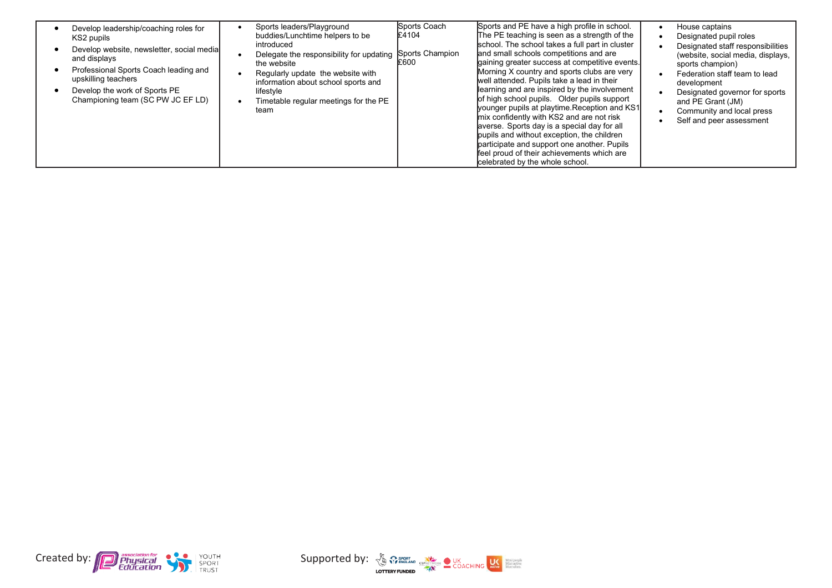| Develop leadership/coaching roles for<br>KS2 pupils                                                                                                                                             | Sports leaders/Playground<br>buddies/Lunchtime helpers to be                                                                                                                                                    | Sports Coach<br>£4104   | Sports and PE have a high profile in school.<br>The PE teaching is seen as a strength of the                                                                                                                                                                                                                                                                                                                                                                                                                                                                                                                                                                       | House captains<br>Designated pupil roles                                                                                                                                                                                                                   |
|-------------------------------------------------------------------------------------------------------------------------------------------------------------------------------------------------|-----------------------------------------------------------------------------------------------------------------------------------------------------------------------------------------------------------------|-------------------------|--------------------------------------------------------------------------------------------------------------------------------------------------------------------------------------------------------------------------------------------------------------------------------------------------------------------------------------------------------------------------------------------------------------------------------------------------------------------------------------------------------------------------------------------------------------------------------------------------------------------------------------------------------------------|------------------------------------------------------------------------------------------------------------------------------------------------------------------------------------------------------------------------------------------------------------|
| Develop website, newsletter, social media<br>and displays<br>Professional Sports Coach leading and<br>upskilling teachers<br>Develop the work of Sports PE<br>Championing team (SC PW JC EF LD) | introduced<br>Delegate the responsibility for updating<br>the website<br>Regularly update the website with<br>information about school sports and<br>lifestyle<br>Timetable regular meetings for the PE<br>team | Sports Champion<br>£600 | school. The school takes a full part in cluster<br>and small schools competitions and are<br>gaining greater success at competitive events.<br>Morning X country and sports clubs are very<br>well attended. Pupils take a lead in their<br>learning and are inspired by the involvement<br>of high school pupils. Older pupils support<br>younger pupils at playtime. Reception and KS1<br>mix confidently with KS2 and are not risk<br>averse. Sports day is a special day for all<br>pupils and without exception, the children<br>participate and support one another. Pupils<br>feel proud of their achievements which are<br>celebrated by the whole school. | Designated staff responsibilities<br>(website, social media, displays,<br>sports champion)<br>Federation staff team to lead<br>development<br>Designated governor for sports<br>and PE Grant (JM)<br>Community and local press<br>Self and peer assessment |



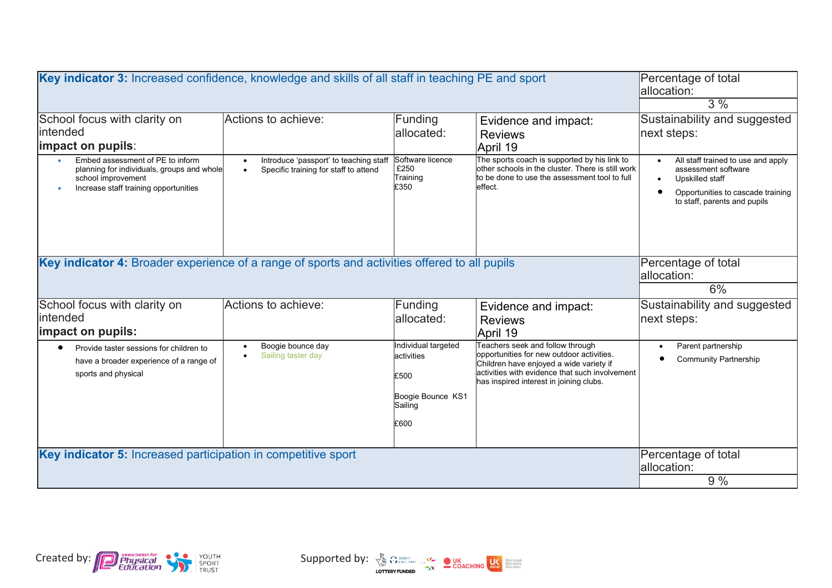| Key indicator 3: Increased confidence, knowledge and skills of all staff in teaching PE and sport                                                          | Percentage of total<br>lallocation:<br>3%                                                                 |                                                                                   |                                                                                                                                                                                                                       |                                                                                                                                                   |
|------------------------------------------------------------------------------------------------------------------------------------------------------------|-----------------------------------------------------------------------------------------------------------|-----------------------------------------------------------------------------------|-----------------------------------------------------------------------------------------------------------------------------------------------------------------------------------------------------------------------|---------------------------------------------------------------------------------------------------------------------------------------------------|
| School focus with clarity on<br>lintended<br>limpact on pupils:                                                                                            | Actions to achieve:                                                                                       | Funding<br>allocated:                                                             | Evidence and impact:<br><b>Reviews</b><br>April 19                                                                                                                                                                    | Sustainability and suggested<br>next steps:                                                                                                       |
| Embed assessment of PE to inform<br>planning for individuals, groups and whole<br>school improvement<br>Increase staff training opportunities<br>$\bullet$ | Introduce 'passport' to teaching staff<br>$\bullet$<br>Specific training for staff to attend<br>$\bullet$ | Software licence<br>£250<br>Training<br>£350                                      | The sports coach is supported by his link to<br>other schools in the cluster. There is still work<br>to be done to use the assessment tool to full<br>effect.                                                         | All staff trained to use and apply<br>assessment software<br>Upskilled staff<br>Opportunities to cascade training<br>to staff, parents and pupils |
| Key indicator 4: Broader experience of a range of sports and activities offered to all pupils                                                              | Percentage of total<br>allocation:                                                                        |                                                                                   |                                                                                                                                                                                                                       |                                                                                                                                                   |
|                                                                                                                                                            |                                                                                                           |                                                                                   |                                                                                                                                                                                                                       | 6%                                                                                                                                                |
| School focus with clarity on                                                                                                                               | Actions to achieve:                                                                                       | Funding                                                                           | Evidence and impact:                                                                                                                                                                                                  | Sustainability and suggested                                                                                                                      |
| lintended                                                                                                                                                  |                                                                                                           | allocated:                                                                        | <b>Reviews</b>                                                                                                                                                                                                        | next steps:                                                                                                                                       |
| impact on pupils:                                                                                                                                          |                                                                                                           |                                                                                   | April 19                                                                                                                                                                                                              |                                                                                                                                                   |
| Provide taster sessions for children to<br>$\bullet$<br>have a broader experience of a range of<br>sports and physical                                     | Boogie bounce day<br>$\bullet$<br>Sailing taster day<br>$\bullet$                                         | Individual targeted<br>activities<br>£500<br>Boogie Bounce KS1<br>Sailing<br>£600 | Teachers seek and follow through<br>opportunities for new outdoor activities.<br>Children have enjoyed a wide variety if<br>activities with evidence that such involvement<br>has inspired interest in joining clubs. | Parent partnership<br><b>Community Partnership</b>                                                                                                |
| Key indicator 5: Increased participation in competitive sport                                                                                              | Percentage of total                                                                                       |                                                                                   |                                                                                                                                                                                                                       |                                                                                                                                                   |
|                                                                                                                                                            | allocation:                                                                                               |                                                                                   |                                                                                                                                                                                                                       |                                                                                                                                                   |
|                                                                                                                                                            | 9%                                                                                                        |                                                                                   |                                                                                                                                                                                                                       |                                                                                                                                                   |